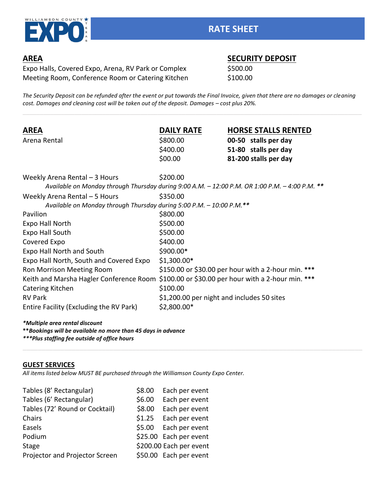

Expo Halls, Covered Expo, Arena, RV Park or Complex \$500.00 Meeting Room, Conference Room or Catering Kitchen \$100.00

# **AREA SECURITY DEPOSIT**

*The Security Deposit can be refunded after the event or put towards the Final Invoice, given that there are no damages or cleaning cost. Damages and cleaning cost will be taken out of the deposit. Damages - cost plus 20%.* 

| <b>AREA</b>                                                                                    | <b>DAILY RATE</b>                          | <b>HORSE STALLS RENTED</b>                          |
|------------------------------------------------------------------------------------------------|--------------------------------------------|-----------------------------------------------------|
| Arena Rental                                                                                   | \$800.00                                   | 00-50 stalls per day                                |
|                                                                                                | \$400.00                                   | 51-80 stalls per day                                |
|                                                                                                | \$00.00                                    | 81-200 stalls per day                               |
| Weekly Arena Rental $-3$ Hours                                                                 | \$200.00                                   |                                                     |
| Available on Monday through Thursday during 9:00 A.M. - 12:00 P.M. OR 1:00 P.M. - 4:00 P.M. ** |                                            |                                                     |
| Weekly Arena Rental $-5$ Hours                                                                 | \$350.00                                   |                                                     |
| Available on Monday through Thursday during 5:00 P.M. - 10:00 P.M.**                           |                                            |                                                     |
| Pavilion                                                                                       | \$800.00                                   |                                                     |
| <b>Expo Hall North</b>                                                                         | \$500.00                                   |                                                     |
| <b>Expo Hall South</b>                                                                         | \$500.00                                   |                                                     |
| Covered Expo                                                                                   | \$400.00                                   |                                                     |
| Expo Hall North and South                                                                      | \$900.00*                                  |                                                     |
| Expo Hall North, South and Covered Expo                                                        | $$1,300.00*$                               |                                                     |
| Ron Morrison Meeting Room                                                                      |                                            | \$150.00 or \$30.00 per hour with a 2-hour min. *** |
| Keith and Marsha Hagler Conference Room \$100.00 or \$30.00 per hour with a 2-hour min. ***    |                                            |                                                     |
| Catering Kitchen                                                                               | \$100.00                                   |                                                     |
| <b>RV Park</b>                                                                                 | \$1,200.00 per night and includes 50 sites |                                                     |
| Entire Facility (Excluding the RV Park)                                                        | $$2,800.00*$                               |                                                     |

#### *\*Multiple area rental discount*

**\*\****Bookings will be available no more than 45 days in advance*

*\*\*\*Plus staffing fee outside of office hours*

#### **GUEST SERVICES**

*All items listed below MUST BE purchased through the Williamson County Expo Center.*

| Tables (8' Rectangular)        | \$8.00 | Each per event          |
|--------------------------------|--------|-------------------------|
| Tables (6' Rectangular)        | \$6.00 | Each per event          |
| Tables (72' Round or Cocktail) | \$8.00 | Each per event          |
| Chairs                         | \$1.25 | Each per event          |
| Easels                         |        | \$5.00 Each per event   |
| Podium                         |        | \$25.00 Each per event  |
| <b>Stage</b>                   |        | \$200.00 Each per event |
| Projector and Projector Screen |        | \$50.00 Each per event  |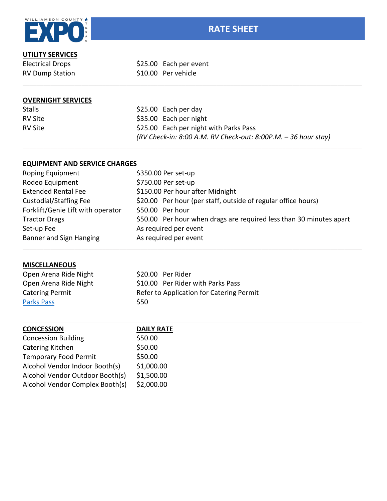

## **UTILITY SERVICES**

Electrical Drops \$25.00 Each per event RV Dump Station \$10.00 Per vehicle

### **OVERNIGHT SERVICES**

| <b>Stalls</b> | $$25.00$ Each per day                                              |
|---------------|--------------------------------------------------------------------|
| RV Site       | \$35.00 Each per night                                             |
| RV Site       | \$25.00 Each per night with Parks Pass                             |
|               | $(RV$ Check-in: 8:00 A.M. RV Check-out: 8:00P.M. $-$ 36 hour stay) |

#### **EQUIPMENT AND SERVICE CHARGES**

| <b>Roping Equipment</b>           | \$350.00 Per set-up                                                 |
|-----------------------------------|---------------------------------------------------------------------|
| Rodeo Equipment                   | \$750.00 Per set-up                                                 |
| <b>Extended Rental Fee</b>        | \$150.00 Per hour after Midnight                                    |
| <b>Custodial/Staffing Fee</b>     | \$20.00 Per hour (per staff, outside of regular office hours)       |
| Forklift/Genie Lift with operator | \$50.00 Per hour                                                    |
| <b>Tractor Drags</b>              | \$50.00 Per hour when drags are required less than 30 minutes apart |
| Set-up Fee                        | As required per event                                               |
| Banner and Sign Hanging           | As required per event                                               |

## **MISCELLANEOUS**

| Open Arena Ride Night  | \$20.00 Per Rider                        |
|------------------------|------------------------------------------|
| Open Arena Ride Night  | \$10.00 Per Rider with Parks Pass        |
| <b>Catering Permit</b> | Refer to Application for Catering Permit |
| <b>Parks Pass</b>      | <b>S50</b>                               |

| <b>CONCESSION</b>               | <b>DAILY RATE</b> |
|---------------------------------|-------------------|
| <b>Concession Building</b>      | \$50.00           |
| Catering Kitchen                | \$50.00           |
| <b>Temporary Food Permit</b>    | \$50.00           |
| Alcohol Vendor Indoor Booth(s)  | \$1,000.00        |
| Alcohol Vendor Outdoor Booth(s) | \$1,500.00        |
| Alcohol Vendor Complex Booth(s) | \$2,000.00        |
|                                 |                   |